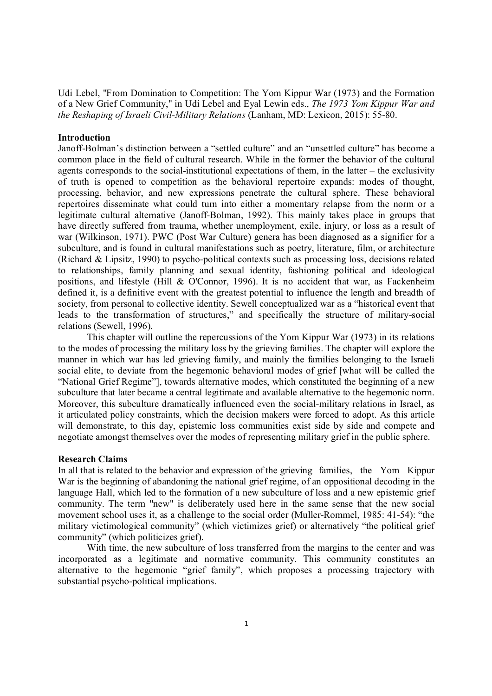Udi Lebel, "From Domination to Competition: The Yom Kippur War (1973) and the Formation of a New Grief Community," in Udi Lebel and Eyal Lewin eds., *The 1973 Yom Kippur War and the Reshaping of Israeli Civil-Military Relations* (Lanham, MD: Lexicon, 2015): 55-80.

## **Introduction**

Janoff-Bolman's distinction between a "settled culture" and an "unsettled culture" has become a common place in the field of cultural research. While in the former the behavior of the cultural agents corresponds to the social-institutional expectations of them, in the latter – the exclusivity of truth is opened to competition as the behavioral repertoire expands: modes of thought, processing, behavior, and new expressions penetrate the cultural sphere. These behavioral repertoires disseminate what could turn into either a momentary relapse from the norm or a legitimate cultural alternative (Janoff-Bolman, 1992). This mainly takes place in groups that have directly suffered from trauma, whether unemployment, exile, injury, or loss as a result of war (Wilkinson, 1971). PWC (Post War Culture) genera has been diagnosed as a signifier for a subculture, and is found in cultural manifestations such as poetry, literature, film, or architecture (Richard & Lipsitz, 1990) to psycho-political contexts such as processing loss, decisions related to relationships, family planning and sexual identity, fashioning political and ideological positions, and lifestyle (Hill & O'Connor, 1996). It is no accident that war, as Fackenheim defined it, is a definitive event with the greatest potential to influence the length and breadth of society, from personal to collective identity. Sewell conceptualized war as a "historical event that leads to the transformation of structures," and specifically the structure of military-social relations (Sewell, 1996).

This chapter will outline the repercussions of the Yom Kippur War (1973) in its relations to the modes of processing the military loss by the grieving families. The chapter will explore the manner in which war has led grieving family, and mainly the families belonging to the Israeli social elite, to deviate from the hegemonic behavioral modes of grief [what will be called the "National Grief Regime"], towards alternative modes, which constituted the beginning of a new subculture that later became a central legitimate and available alternative to the hegemonic norm. Moreover, this subculture dramatically influenced even the social-military relations in Israel, as it articulated policy constraints, which the decision makers were forced to adopt. As this article will demonstrate, to this day, epistemic loss communities exist side by side and compete and negotiate amongst themselves over the modes of representing military grief in the public sphere.

## **Research Claims**

In all that is related to the behavior and expression of the grieving families, the Yom Kippur War is the beginning of abandoning the national grief regime, of an oppositional decoding in the language Hall, which led to the formation of a new subculture of loss and a new epistemic grief community. The term "new" is deliberately used here in the same sense that the new social movement school uses it, as a challenge to the social order (Muller-Rommel, 1985: 41-54): "the military victimological community" (which victimizes grief) or alternatively "the political grief community" (which politicizes grief).

With time, the new subculture of loss transferred from the margins to the center and was incorporated as a legitimate and normative community. This community constitutes an alternative to the hegemonic "grief family", which proposes a processing trajectory with substantial psycho-political implications.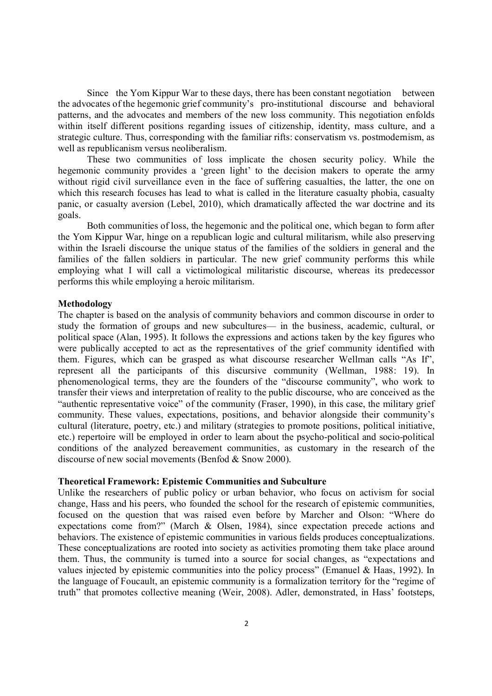Since the Yom Kippur War to these days, there has been constant negotiation between the advocates of the hegemonic grief community's pro-institutional discourse and behavioral patterns, and the advocates and members of the new loss community. This negotiation enfolds within itself different positions regarding issues of citizenship, identity, mass culture, and a strategic culture. Thus, corresponding with the familiar rifts: conservatism vs. postmodernism, as well as republicanism versus neoliberalism.

These two communities of loss implicate the chosen security policy. While the hegemonic community provides a 'green light' to the decision makers to operate the army without rigid civil surveillance even in the face of suffering casualties, the latter, the one on which this research focuses has lead to what is called in the literature casualty phobia, casualty panic, or casualty aversion (Lebel, 2010), which dramatically affected the war doctrine and its goals.

Both communities of loss, the hegemonic and the political one, which began to form after the Yom Kippur War, hinge on a republican logic and cultural militarism, while also preserving within the Israeli discourse the unique status of the families of the soldiers in general and the families of the fallen soldiers in particular. The new grief community performs this while employing what I will call a victimological militaristic discourse, whereas its predecessor performs this while employing a heroic militarism.

## **Methodology**

The chapter is based on the analysis of community behaviors and common discourse in order to study the formation of groups and new subcultures— in the business, academic, cultural, or political space (Alan, 1995). It follows the expressions and actions taken by the key figures who were publically accepted to act as the representatives of the grief community identified with them. Figures, which can be grasped as what discourse researcher Wellman calls "As If", represent all the participants of this discursive community (Wellman, 1988: 19). In phenomenological terms, they are the founders of the "discourse community", who work to transfer their views and interpretation of reality to the public discourse, who are conceived as the "authentic representative voice" of the community (Fraser, 1990), in this case, the military grief community. These values, expectations, positions, and behavior alongside their community's cultural (literature, poetry, etc.) and military (strategies to promote positions, political initiative, etc.) repertoire will be employed in order to learn about the psycho-political and socio-political conditions of the analyzed bereavement communities, as customary in the research of the discourse of new social movements (Benfod & Snow 2000).

#### **Theoretical Framework: Epistemic Communities and Subculture**

Unlike the researchers of public policy or urban behavior, who focus on activism for social change, Hass and his peers, who founded the school for the research of epistemic communities, focused on the question that was raised even before by Marcher and Olson: "Where do expectations come from?" (March & Olsen, 1984), since expectation precede actions and behaviors. The existence of epistemic communities in various fields produces conceptualizations. These conceptualizations are rooted into society as activities promoting them take place around them. Thus, the community is turned into a source for social changes, as "expectations and values injected by epistemic communities into the policy process" (Emanuel & Haas, 1992). In the language of Foucault, an epistemic community is a formalization territory for the "regime of truth" that promotes collective meaning (Weir, 2008). Adler, demonstrated, in Hass' footsteps,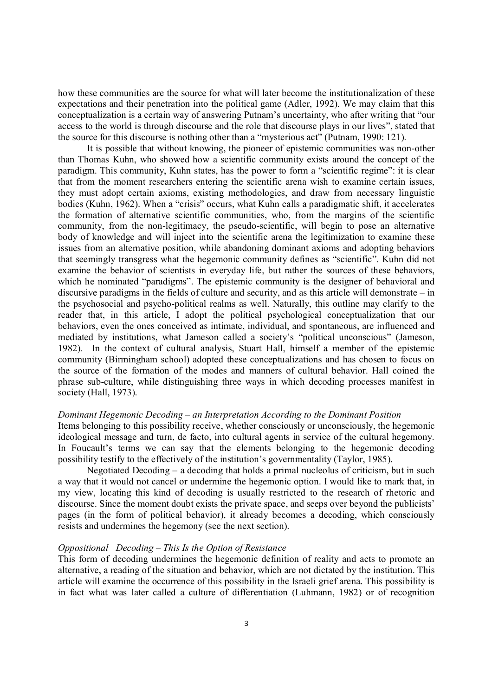how these communities are the source for what will later become the institutionalization of these expectations and their penetration into the political game (Adler, 1992). We may claim that this conceptualization is a certain way of answering Putnam's uncertainty, who after writing that "our access to the world is through discourse and the role that discourse plays in our lives", stated that the source for this discourse is nothing other than a "mysterious act" (Putnam, 1990: 121).

It is possible that without knowing, the pioneer of epistemic communities was non-other than Thomas Kuhn, who showed how a scientific community exists around the concept of the paradigm. This community, Kuhn states, has the power to form a "scientific regime": it is clear that from the moment researchers entering the scientific arena wish to examine certain issues, they must adopt certain axioms, existing methodologies, and draw from necessary linguistic bodies (Kuhn, 1962). When a "crisis" occurs, what Kuhn calls a paradigmatic shift, it accelerates the formation of alternative scientific communities, who, from the margins of the scientific community, from the non-legitimacy, the pseudo-scientific, will begin to pose an alternative body of knowledge and will inject into the scientific arena the legitimization to examine these issues from an alternative position, while abandoning dominant axioms and adopting behaviors that seemingly transgress what the hegemonic community defines as "scientific". Kuhn did not examine the behavior of scientists in everyday life, but rather the sources of these behaviors, which he nominated "paradigms". The epistemic community is the designer of behavioral and discursive paradigms in the fields of culture and security, and as this article will demonstrate – in the psychosocial and psycho-political realms as well. Naturally, this outline may clarify to the reader that, in this article, I adopt the political psychological conceptualization that our behaviors, even the ones conceived as intimate, individual, and spontaneous, are influenced and mediated by institutions, what Jameson called a society's "political unconscious" (Jameson, 1982). In the context of cultural analysis, Stuart Hall, himself a member of the epistemic community (Birmingham school) adopted these conceptualizations and has chosen to focus on the source of the formation of the modes and manners of cultural behavior. Hall coined the phrase sub-culture, while distinguishing three ways in which decoding processes manifest in society (Hall, 1973).

## *Dominant Hegemonic Decoding – an Interpretation According to the Dominant Position*

Items belonging to this possibility receive, whether consciously or unconsciously, the hegemonic ideological message and turn, de facto, into cultural agents in service of the cultural hegemony. In Foucault's terms we can say that the elements belonging to the hegemonic decoding possibility testify to the effectively of the institution's governmentality (Taylor, 1985).

Negotiated Decoding – a decoding that holds a primal nucleolus of criticism, but in such a way that it would not cancel or undermine the hegemonic option. I would like to mark that, in my view, locating this kind of decoding is usually restricted to the research of rhetoric and discourse. Since the moment doubt exists the private space, and seeps over beyond the publicists' pages (in the form of political behavior), it already becomes a decoding, which consciously resists and undermines the hegemony (see the next section).

## *Oppositional Decoding – This Is the Option of Resistance*

This form of decoding undermines the hegemonic definition of reality and acts to promote an alternative, a reading of the situation and behavior, which are not dictated by the institution. This article will examine the occurrence of this possibility in the Israeli grief arena. This possibility is in fact what was later called a culture of differentiation (Luhmann, 1982) or of recognition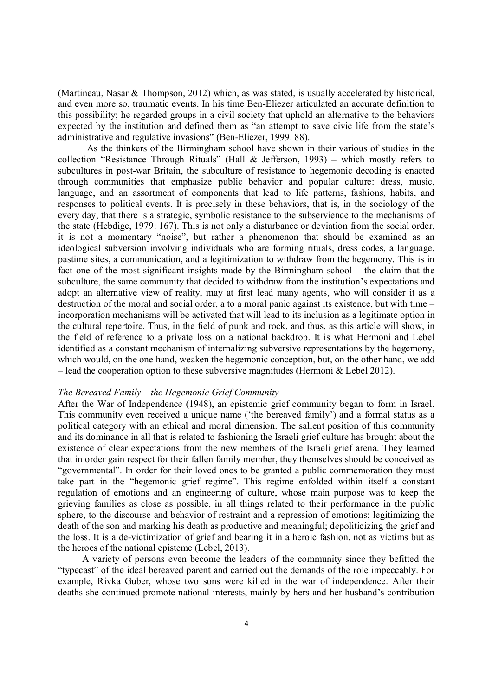(Martineau, Nasar & Thompson, 2012) which, as was stated, is usually accelerated by historical, and even more so, traumatic events. In his time Ben-Eliezer articulated an accurate definition to this possibility; he regarded groups in a civil society that uphold an alternative to the behaviors expected by the institution and defined them as "an attempt to save civic life from the state's administrative and regulative invasions" (Ben-Eliezer, 1999: 88).

As the thinkers of the Birmingham school have shown in their various of studies in the collection "Resistance Through Rituals" (Hall & Jefferson, 1993) – which mostly refers to subcultures in post-war Britain, the subculture of resistance to hegemonic decoding is enacted through communities that emphasize public behavior and popular culture: dress, music, language, and an assortment of components that lead to life patterns, fashions, habits, and responses to political events. It is precisely in these behaviors, that is, in the sociology of the every day, that there is a strategic, symbolic resistance to the subservience to the mechanisms of the state (Hebdige, 1979: 167). This is not only a disturbance or deviation from the social order, it is not a momentary "noise", but rather a phenomenon that should be examined as an ideological subversion involving individuals who are forming rituals, dress codes, a language, pastime sites, a communication, and a legitimization to withdraw from the hegemony. This is in fact one of the most significant insights made by the Birmingham school – the claim that the subculture, the same community that decided to withdraw from the institution's expectations and adopt an alternative view of reality, may at first lead many agents, who will consider it as a destruction of the moral and social order, a to a moral panic against its existence, but with time – incorporation mechanisms will be activated that will lead to its inclusion as a legitimate option in the cultural repertoire. Thus, in the field of punk and rock, and thus, as this article will show, in the field of reference to a private loss on a national backdrop. It is what Hermoni and Lebel identified as a constant mechanism of internalizing subversive representations by the hegemony, which would, on the one hand, weaken the hegemonic conception, but, on the other hand, we add – lead the cooperation option to these subversive magnitudes (Hermoni  $&$  Lebel 2012).

#### *The Bereaved Family – the Hegemonic Grief Community*

After the War of Independence (1948), an epistemic grief community began to form in Israel. This community even received a unique name ('the bereaved family') and a formal status as a political category with an ethical and moral dimension. The salient position of this community and its dominance in all that is related to fashioning the Israeli grief culture has brought about the existence of clear expectations from the new members of the Israeli grief arena. They learned that in order gain respect for their fallen family member, they themselves should be conceived as "governmental". In order for their loved ones to be granted a public commemoration they must take part in the "hegemonic grief regime". This regime enfolded within itself a constant regulation of emotions and an engineering of culture, whose main purpose was to keep the grieving families as close as possible, in all things related to their performance in the public sphere, to the discourse and behavior of restraint and a repression of emotions; legitimizing the death of the son and marking his death as productive and meaningful; depoliticizing the grief and the loss. It is a de-victimization of grief and bearing it in a heroic fashion, not as victims but as the heroes of the national episteme (Lebel, 2013).

 A variety of persons even become the leaders of the community since they befitted the "typecast" of the ideal bereaved parent and carried out the demands of the role impeccably. For example, Rivka Guber, whose two sons were killed in the war of independence. After their deaths she continued promote national interests, mainly by hers and her husband's contribution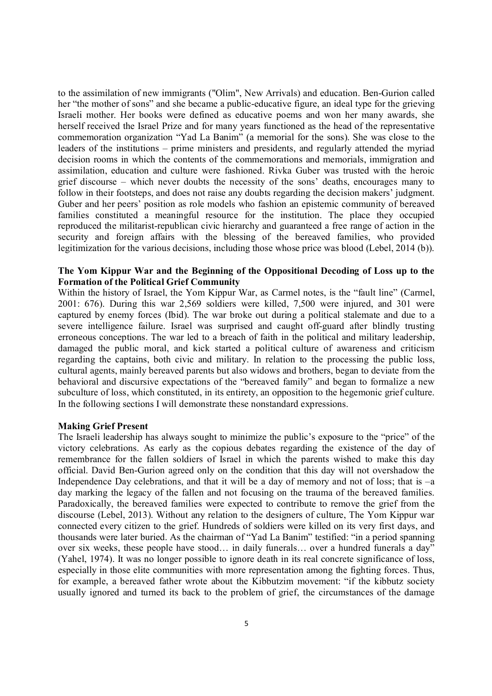to the assimilation of new immigrants ("Olim", New Arrivals) and education. Ben-Gurion called her "the mother of sons" and she became a public-educative figure, an ideal type for the grieving Israeli mother. Her books were defined as educative poems and won her many awards, she herself received the Israel Prize and for many years functioned as the head of the representative commemoration organization "Yad La Banim" (a memorial for the sons). She was close to the leaders of the institutions – prime ministers and presidents, and regularly attended the myriad decision rooms in which the contents of the commemorations and memorials, immigration and assimilation, education and culture were fashioned. Rivka Guber was trusted with the heroic grief discourse – which never doubts the necessity of the sons' deaths, encourages many to follow in their footsteps, and does not raise any doubts regarding the decision makers' judgment. Guber and her peers' position as role models who fashion an epistemic community of bereaved families constituted a meaningful resource for the institution. The place they occupied reproduced the militarist-republican civic hierarchy and guaranteed a free range of action in the security and foreign affairs with the blessing of the bereaved families, who provided legitimization for the various decisions, including those whose price was blood (Lebel, 2014 (b)).

# **The Yom Kippur War and the Beginning of the Oppositional Decoding of Loss up to the Formation of the Political Grief Community**

Within the history of Israel, the Yom Kippur War, as Carmel notes, is the "fault line" (Carmel, 2001: 676). During this war 2,569 soldiers were killed, 7,500 were injured, and 301 were captured by enemy forces (Ibid). The war broke out during a political stalemate and due to a severe intelligence failure. Israel was surprised and caught off-guard after blindly trusting erroneous conceptions. The war led to a breach of faith in the political and military leadership, damaged the public moral, and kick started a political culture of awareness and criticism regarding the captains, both civic and military. In relation to the processing the public loss, cultural agents, mainly bereaved parents but also widows and brothers, began to deviate from the behavioral and discursive expectations of the "bereaved family" and began to formalize a new subculture of loss, which constituted, in its entirety, an opposition to the hegemonic grief culture. In the following sections I will demonstrate these nonstandard expressions.

### **Making Grief Present**

The Israeli leadership has always sought to minimize the public's exposure to the "price" of the victory celebrations. As early as the copious debates regarding the existence of the day of remembrance for the fallen soldiers of Israel in which the parents wished to make this day official. David Ben-Gurion agreed only on the condition that this day will not overshadow the Independence Day celebrations, and that it will be a day of memory and not of loss; that is –a day marking the legacy of the fallen and not focusing on the trauma of the bereaved families. Paradoxically, the bereaved families were expected to contribute to remove the grief from the discourse (Lebel, 2013). Without any relation to the designers of culture, The Yom Kippur war connected every citizen to the grief. Hundreds of soldiers were killed on its very first days, and thousands were later buried. As the chairman of "Yad La Banim" testified: "in a period spanning over six weeks, these people have stood… in daily funerals… over a hundred funerals a day" (Yahel, 1974). It was no longer possible to ignore death in its real concrete significance of loss, especially in those elite communities with more representation among the fighting forces. Thus, for example, a bereaved father wrote about the Kibbutzim movement: "if the kibbutz society usually ignored and turned its back to the problem of grief, the circumstances of the damage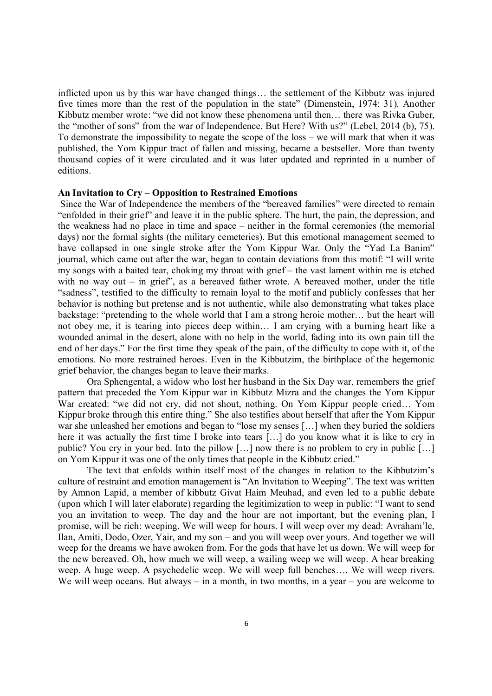inflicted upon us by this war have changed things… the settlement of the Kibbutz was injured five times more than the rest of the population in the state" (Dimenstein, 1974: 31). Another Kibbutz member wrote: "we did not know these phenomena until then… there was Rivka Guber, the "mother of sons" from the war of Independence. But Here? With us?" (Lebel, 2014 (b), 75). To demonstrate the impossibility to negate the scope of the loss – we will mark that when it was published, the Yom Kippur tract of fallen and missing, became a bestseller. More than twenty thousand copies of it were circulated and it was later updated and reprinted in a number of editions.

#### **An Invitation to Cry – Opposition to Restrained Emotions**

Since the War of Independence the members of the "bereaved families" were directed to remain "enfolded in their grief" and leave it in the public sphere. The hurt, the pain, the depression, and the weakness had no place in time and space – neither in the formal ceremonies (the memorial days) nor the formal sights (the military cemeteries). But this emotional management seemed to have collapsed in one single stroke after the Yom Kippur War. Only the "Yad La Banim" journal, which came out after the war, began to contain deviations from this motif: "I will write my songs with a baited tear, choking my throat with grief – the vast lament within me is etched with no way out – in grief", as a bereaved father wrote. A bereaved mother, under the title "sadness", testified to the difficulty to remain loyal to the motif and publicly confesses that her behavior is nothing but pretense and is not authentic, while also demonstrating what takes place backstage: "pretending to the whole world that I am a strong heroic mother… but the heart will not obey me, it is tearing into pieces deep within… I am crying with a burning heart like a wounded animal in the desert, alone with no help in the world, fading into its own pain till the end of her days." For the first time they speak of the pain, of the difficulty to cope with it, of the emotions. No more restrained heroes. Even in the Kibbutzim, the birthplace of the hegemonic grief behavior, the changes began to leave their marks.

Ora Sphengental, a widow who lost her husband in the Six Day war, remembers the grief pattern that preceded the Yom Kippur war in Kibbutz Mizra and the changes the Yom Kippur War created: "we did not cry, did not shout, nothing. On Yom Kippur people cried… Yom Kippur broke through this entire thing." She also testifies about herself that after the Yom Kippur war she unleashed her emotions and began to "lose my senses [...] when they buried the soldiers here it was actually the first time I broke into tears […] do you know what it is like to cry in public? You cry in your bed. Into the pillow […] now there is no problem to cry in public […] on Yom Kippur it was one of the only times that people in the Kibbutz cried."

The text that enfolds within itself most of the changes in relation to the Kibbutzim's culture of restraint and emotion management is "An Invitation to Weeping". The text was written by Amnon Lapid, a member of kibbutz Givat Haim Meuhad, and even led to a public debate (upon which I will later elaborate) regarding the legitimization to weep in public: "I want to send you an invitation to weep. The day and the hour are not important, but the evening plan, I promise, will be rich: weeping. We will weep for hours. I will weep over my dead: Avraham'le, Ilan, Amiti, Dodo, Ozer, Yair, and my son – and you will weep over yours. And together we will weep for the dreams we have awoken from. For the gods that have let us down. We will weep for the new bereaved. Oh, how much we will weep, a wailing weep we will weep. A hear breaking weep. A huge weep. A psychedelic weep. We will weep full benches…. We will weep rivers. We will weep oceans. But always – in a month, in two months, in a year – you are welcome to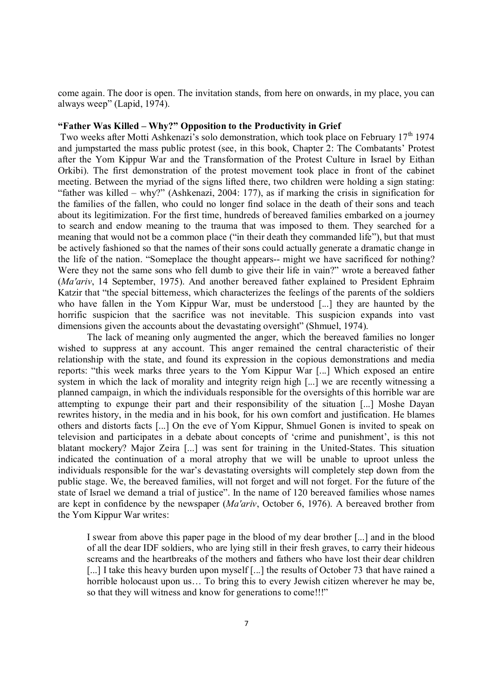come again. The door is open. The invitation stands, from here on onwards, in my place, you can always weep" (Lapid, 1974).

# **"Father Was Killed – Why?" Opposition to the Productivity in Grief**

Two weeks after Motti Ashkenazi's solo demonstration, which took place on February  $17<sup>th</sup> 1974$ and jumpstarted the mass public protest (see, in this book, Chapter 2: The Combatants' Protest after the Yom Kippur War and the Transformation of the Protest Culture in Israel by Eithan Orkibi). The first demonstration of the protest movement took place in front of the cabinet meeting. Between the myriad of the signs lifted there, two children were holding a sign stating: "father was killed – why?" (Ashkenazi, 2004: 177), as if marking the crisis in signification for the families of the fallen, who could no longer find solace in the death of their sons and teach about its legitimization. For the first time, hundreds of bereaved families embarked on a journey to search and endow meaning to the trauma that was imposed to them. They searched for a meaning that would not be a common place ("in their death they commanded life"), but that must be actively fashioned so that the names of their sons could actually generate a dramatic change in the life of the nation. "Someplace the thought appears-- might we have sacrificed for nothing? Were they not the same sons who fell dumb to give their life in vain?" wrote a bereaved father (*Ma'ariv*, 14 September, 1975). And another bereaved father explained to President Ephraim Katzir that "the special bitterness, which characterizes the feelings of the parents of the soldiers who have fallen in the Yom Kippur War, must be understood [...] they are haunted by the horrific suspicion that the sacrifice was not inevitable. This suspicion expands into vast dimensions given the accounts about the devastating oversight" (Shmuel, 1974).

The lack of meaning only augmented the anger, which the bereaved families no longer wished to suppress at any account. This anger remained the central characteristic of their relationship with the state, and found its expression in the copious demonstrations and media reports: "this week marks three years to the Yom Kippur War [...] Which exposed an entire system in which the lack of morality and integrity reign high [...] we are recently witnessing a planned campaign, in which the individuals responsible for the oversights of this horrible war are attempting to expunge their part and their responsibility of the situation [...] Moshe Dayan rewrites history, in the media and in his book, for his own comfort and justification. He blames others and distorts facts [...] On the eve of Yom Kippur, Shmuel Gonen is invited to speak on television and participates in a debate about concepts of 'crime and punishment', is this not blatant mockery? Major Zeira [...] was sent for training in the United-States. This situation indicated the continuation of a moral atrophy that we will be unable to uproot unless the individuals responsible for the war's devastating oversights will completely step down from the public stage. We, the bereaved families, will not forget and will not forget. For the future of the state of Israel we demand a trial of justice". In the name of 120 bereaved families whose names are kept in confidence by the newspaper (*Ma'ariv*, October 6, 1976). A bereaved brother from the Yom Kippur War writes:

I swear from above this paper page in the blood of my dear brother [...] and in the blood of all the dear IDF soldiers, who are lying still in their fresh graves, to carry their hideous screams and the heartbreaks of the mothers and fathers who have lost their dear children [...] I take this heavy burden upon myself [...] the results of October 73 that have rained a horrible holocaust upon us... To bring this to every Jewish citizen wherever he may be, so that they will witness and know for generations to come!!!"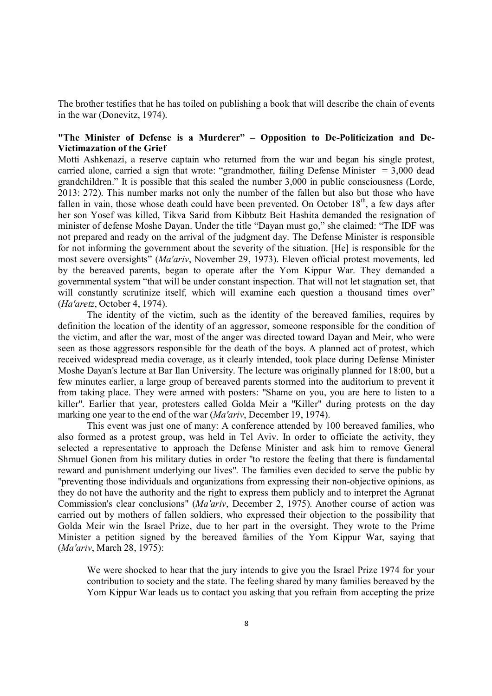The brother testifies that he has toiled on publishing a book that will describe the chain of events in the war (Donevitz, 1974).

# **"The Minister of Defense is a Murderer" – Opposition to De-Politicization and De-Victimazation of the Grief**

Motti Ashkenazi, a reserve captain who returned from the war and began his single protest, carried alone, carried a sign that wrote: "grandmother, failing Defense Minister  $= 3,000$  dead grandchildren." It is possible that this sealed the number 3,000 in public consciousness (Lorde, 2013: 272). This number marks not only the number of the fallen but also but those who have fallen in vain, those whose death could have been prevented. On October  $18<sup>th</sup>$ , a few days after her son Yosef was killed, Tikva Sarid from Kibbutz Beit Hashita demanded the resignation of minister of defense Moshe Dayan. Under the title "Dayan must go," she claimed: "The IDF was not prepared and ready on the arrival of the judgment day. The Defense Minister is responsible for not informing the government about the severity of the situation. [He] is responsible for the most severe oversights" (*Ma'ariv*, November 29, 1973). Eleven official protest movements, led by the bereaved parents, began to operate after the Yom Kippur War. They demanded a governmental system "that will be under constant inspection. That will not let stagnation set, that will constantly scrutinize itself, which will examine each question a thousand times over" (*Ha'aretz*, October 4, 1974).

The identity of the victim, such as the identity of the bereaved families, requires by definition the location of the identity of an aggressor, someone responsible for the condition of the victim, and after the war, most of the anger was directed toward Dayan and Meir, who were seen as those aggressors responsible for the death of the boys. A planned act of protest, which received widespread media coverage, as it clearly intended, took place during Defense Minister Moshe Dayan's lecture at Bar Ilan University. The lecture was originally planned for 18:00, but a few minutes earlier, a large group of bereaved parents stormed into the auditorium to prevent it from taking place. They were armed with posters: "Shame on you, you are here to listen to a killer". Earlier that year, protesters called Golda Meir a "Killer" during protests on the day marking one year to the end of the war (*Ma'ariv*, December 19, 1974).

This event was just one of many: A conference attended by 100 bereaved families, who also formed as a protest group, was held in Tel Aviv. In order to officiate the activity, they selected a representative to approach the Defense Minister and ask him to remove General Shmuel Gonen from his military duties in order "to restore the feeling that there is fundamental reward and punishment underlying our lives". The families even decided to serve the public by "preventing those individuals and organizations from expressing their non-objective opinions, as they do not have the authority and the right to express them publicly and to interpret the Agranat Commission's clear conclusions" (*Ma'ariv*, December 2, 1975). Another course of action was carried out by mothers of fallen soldiers, who expressed their objection to the possibility that Golda Meir win the Israel Prize, due to her part in the oversight. They wrote to the Prime Minister a petition signed by the bereaved families of the Yom Kippur War, saying that (*Ma'ariv*, March 28, 1975):

We were shocked to hear that the jury intends to give you the Israel Prize 1974 for your contribution to society and the state. The feeling shared by many families bereaved by the Yom Kippur War leads us to contact you asking that you refrain from accepting the prize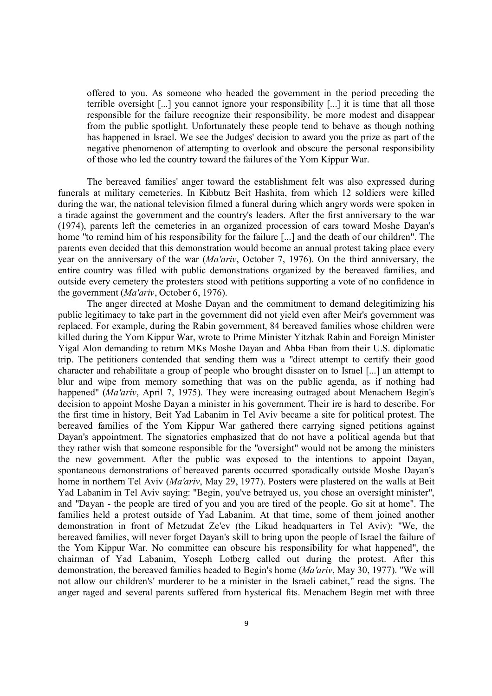offered to you. As someone who headed the government in the period preceding the terrible oversight [...] you cannot ignore your responsibility [...] it is time that all those responsible for the failure recognize their responsibility, be more modest and disappear from the public spotlight. Unfortunately these people tend to behave as though nothing has happened in Israel. We see the Judges' decision to award you the prize as part of the negative phenomenon of attempting to overlook and obscure the personal responsibility of those who led the country toward the failures of the Yom Kippur War.

The bereaved families' anger toward the establishment felt was also expressed during funerals at military cemeteries. In Kibbutz Beit Hashita, from which 12 soldiers were killed during the war, the national television filmed a funeral during which angry words were spoken in a tirade against the government and the country's leaders. After the first anniversary to the war (1974), parents left the cemeteries in an organized procession of cars toward Moshe Dayan's home "to remind him of his responsibility for the failure [...] and the death of our children". The parents even decided that this demonstration would become an annual protest taking place every year on the anniversary of the war (*Ma'ariv*, October 7, 1976). On the third anniversary, the entire country was filled with public demonstrations organized by the bereaved families, and outside every cemetery the protesters stood with petitions supporting a vote of no confidence in the government (*Ma'ariv*, October 6, 1976).

The anger directed at Moshe Dayan and the commitment to demand delegitimizing his public legitimacy to take part in the government did not yield even after Meir's government was replaced. For example, during the Rabin government, 84 bereaved families whose children were killed during the Yom Kippur War, wrote to Prime Minister Yitzhak Rabin and Foreign Minister Yigal Alon demanding to return MKs Moshe Dayan and Abba Eban from their U.S. diplomatic trip. The petitioners contended that sending them was a "direct attempt to certify their good character and rehabilitate a group of people who brought disaster on to Israel [...] an attempt to blur and wipe from memory something that was on the public agenda, as if nothing had happened" (*Ma'ariv*, April 7, 1975). They were increasing outraged about Menachem Begin's decision to appoint Moshe Dayan a minister in his government. Their ire is hard to describe. For the first time in history, Beit Yad Labanim in Tel Aviv became a site for political protest. The bereaved families of the Yom Kippur War gathered there carrying signed petitions against Dayan's appointment. The signatories emphasized that do not have a political agenda but that they rather wish that someone responsible for the "oversight" would not be among the ministers the new government. After the public was exposed to the intentions to appoint Dayan, spontaneous demonstrations of bereaved parents occurred sporadically outside Moshe Dayan's home in northern Tel Aviv (*Ma'ariv*, May 29, 1977). Posters were plastered on the walls at Beit Yad Labanim in Tel Aviv saying: "Begin, you've betrayed us, you chose an oversight minister", and "Dayan - the people are tired of you and you are tired of the people. Go sit at home". The families held a protest outside of Yad Labanim. At that time, some of them joined another demonstration in front of Metzudat Ze'ev (the Likud headquarters in Tel Aviv): "We, the bereaved families, will never forget Dayan's skill to bring upon the people of Israel the failure of the Yom Kippur War. No committee can obscure his responsibility for what happened", the chairman of Yad Labanim, Yoseph Lotberg called out during the protest. After this demonstration, the bereaved families headed to Begin's home (*Ma'ariv*, May 30, 1977). "We will not allow our children's' murderer to be a minister in the Israeli cabinet," read the signs. The anger raged and several parents suffered from hysterical fits. Menachem Begin met with three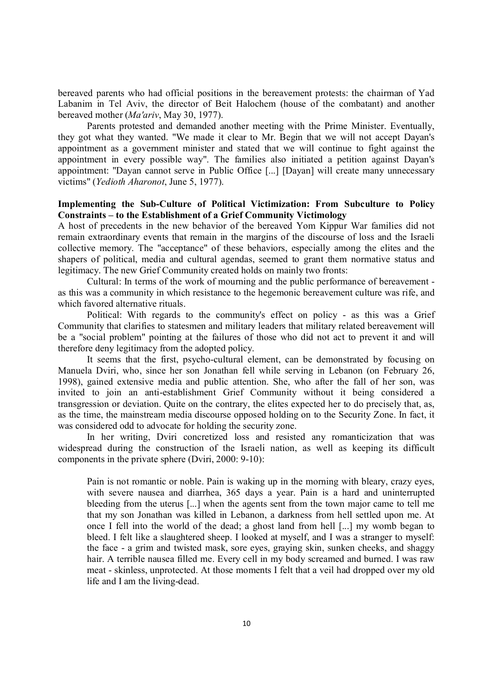bereaved parents who had official positions in the bereavement protests: the chairman of Yad Labanim in Tel Aviv, the director of Beit Halochem (house of the combatant) and another bereaved mother (*Ma'ariv*, May 30, 1977).

Parents protested and demanded another meeting with the Prime Minister. Eventually, they got what they wanted. "We made it clear to Mr. Begin that we will not accept Dayan's appointment as a government minister and stated that we will continue to fight against the appointment in every possible way". The families also initiated a petition against Dayan's appointment: "Dayan cannot serve in Public Office [...] [Dayan] will create many unnecessary victims" (*Yedioth Aharonot*, June 5, 1977).

# **Implementing the Sub-Culture of Political Victimization: From Subculture to Policy Constraints – to the Establishment of a Grief Community Victimology**

A host of precedents in the new behavior of the bereaved Yom Kippur War families did not remain extraordinary events that remain in the margins of the discourse of loss and the Israeli collective memory. The "acceptance" of these behaviors, especially among the elites and the shapers of political, media and cultural agendas, seemed to grant them normative status and legitimacy. The new Grief Community created holds on mainly two fronts:

Cultural: In terms of the work of mourning and the public performance of bereavement as this was a community in which resistance to the hegemonic bereavement culture was rife, and which favored alternative rituals.

Political: With regards to the community's effect on policy - as this was a Grief Community that clarifies to statesmen and military leaders that military related bereavement will be a "social problem" pointing at the failures of those who did not act to prevent it and will therefore deny legitimacy from the adopted policy.

It seems that the first, psycho-cultural element, can be demonstrated by focusing on Manuela Dviri, who, since her son Jonathan fell while serving in Lebanon (on February 26, 1998), gained extensive media and public attention. She, who after the fall of her son, was invited to join an anti-establishment Grief Community without it being considered a transgression or deviation. Quite on the contrary, the elites expected her to do precisely that, as, as the time, the mainstream media discourse opposed holding on to the Security Zone. In fact, it was considered odd to advocate for holding the security zone.

In her writing, Dviri concretized loss and resisted any romanticization that was widespread during the construction of the Israeli nation, as well as keeping its difficult components in the private sphere (Dviri, 2000: 9-10):

Pain is not romantic or noble. Pain is waking up in the morning with bleary, crazy eyes, with severe nausea and diarrhea, 365 days a year. Pain is a hard and uninterrupted bleeding from the uterus [...] when the agents sent from the town major came to tell me that my son Jonathan was killed in Lebanon, a darkness from hell settled upon me. At once I fell into the world of the dead; a ghost land from hell [...] my womb began to bleed. I felt like a slaughtered sheep. I looked at myself, and I was a stranger to myself: the face - a grim and twisted mask, sore eyes, graying skin, sunken cheeks, and shaggy hair. A terrible nausea filled me. Every cell in my body screamed and burned. I was raw meat - skinless, unprotected. At those moments I felt that a veil had dropped over my old life and I am the living-dead.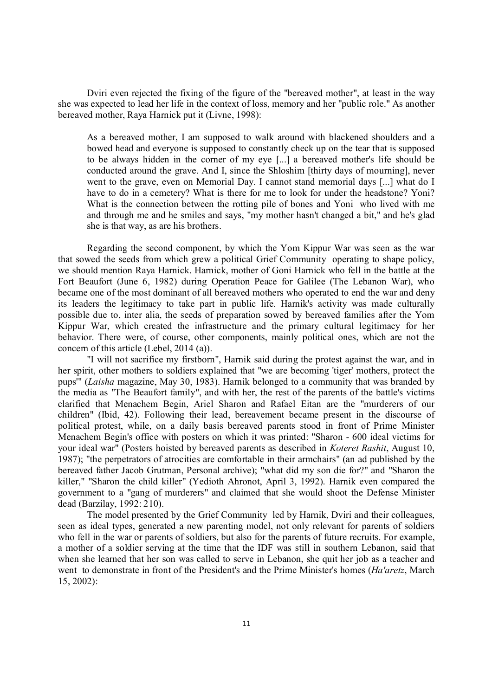Dviri even rejected the fixing of the figure of the "bereaved mother", at least in the way she was expected to lead her life in the context of loss, memory and her "public role." As another bereaved mother, Raya Harnick put it (Livne, 1998):

As a bereaved mother, I am supposed to walk around with blackened shoulders and a bowed head and everyone is supposed to constantly check up on the tear that is supposed to be always hidden in the corner of my eye [...] a bereaved mother's life should be conducted around the grave. And I, since the Shloshim [thirty days of mourning], never went to the grave, even on Memorial Day. I cannot stand memorial days [...] what do I have to do in a cemetery? What is there for me to look for under the headstone? Yoni? What is the connection between the rotting pile of bones and Yoni who lived with me and through me and he smiles and says, "my mother hasn't changed a bit," and he's glad she is that way, as are his brothers.

Regarding the second component, by which the Yom Kippur War was seen as the war that sowed the seeds from which grew a political Grief Community operating to shape policy, we should mention Raya Harnick. Harnick, mother of Goni Harnick who fell in the battle at the Fort Beaufort (June 6, 1982) during Operation Peace for Galilee (The Lebanon War), who became one of the most dominant of all bereaved mothers who operated to end the war and deny its leaders the legitimacy to take part in public life. Harnik's activity was made culturally possible due to, inter alia, the seeds of preparation sowed by bereaved families after the Yom Kippur War, which created the infrastructure and the primary cultural legitimacy for her behavior. There were, of course, other components, mainly political ones, which are not the concern of this article (Lebel, 2014 (a)).

"I will not sacrifice my firstborn", Harnik said during the protest against the war, and in her spirit, other mothers to soldiers explained that "we are becoming 'tiger' mothers, protect the pups'" (*Laisha* magazine, May 30, 1983). Harnik belonged to a community that was branded by the media as "The Beaufort family", and with her, the rest of the parents of the battle's victims clarified that Menachem Begin, Ariel Sharon and Rafael Eitan are the "murderers of our children" (Ibid, 42). Following their lead, bereavement became present in the discourse of political protest, while, on a daily basis bereaved parents stood in front of Prime Minister Menachem Begin's office with posters on which it was printed: "Sharon - 600 ideal victims for your ideal war" (Posters hoisted by bereaved parents as described in *Koteret Rashit*, August 10, 1987); "the perpetrators of atrocities are comfortable in their armchairs" (an ad published by the bereaved father Jacob Grutman, Personal archive); "what did my son die for?" and "Sharon the killer," "Sharon the child killer" (Yedioth Ahronot, April 3, 1992). Harnik even compared the government to a "gang of murderers" and claimed that she would shoot the Defense Minister dead (Barzilay, 1992: 210).

The model presented by the Grief Community led by Harnik, Dviri and their colleagues, seen as ideal types, generated a new parenting model, not only relevant for parents of soldiers who fell in the war or parents of soldiers, but also for the parents of future recruits. For example, a mother of a soldier serving at the time that the IDF was still in southern Lebanon, said that when she learned that her son was called to serve in Lebanon, she quit her job as a teacher and went to demonstrate in front of the President's and the Prime Minister's homes (*Ha'aretz*, March 15, 2002):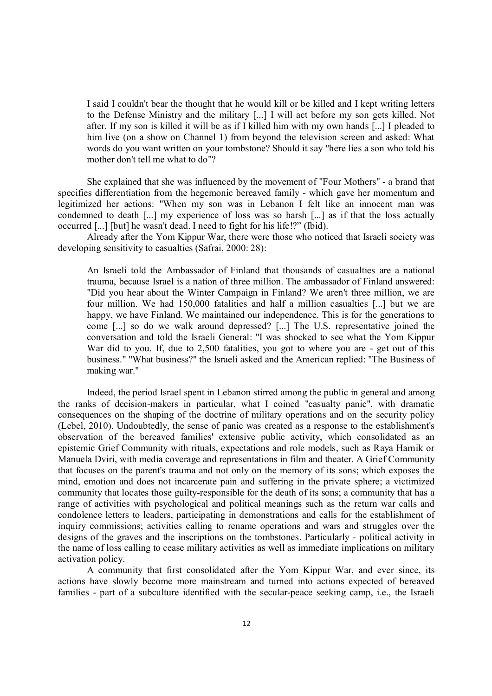I said I couldn't bear the thought that he would kill or be killed and I kept writing letters to the Defense Ministry and the military [...] I will act before my son gets killed. Not after. If my son is killed it will be as if I killed him with my own hands [...] I pleaded to him live (on a show on Channel 1) from beyond the television screen and asked: What words do you want written on your tombstone? Should it say "here lies a son who told his mother don't tell me what to do"?

She explained that she was influenced by the movement of "Four Mothers" - a brand that specifies differentiation from the hegemonic bereaved family - which gave her momentum and legitimized her actions: "When my son was in Lebanon I felt like an innocent man was condemned to death [...] my experience of loss was so harsh [...] as if that the loss actually occurred [...] [but] he wasn't dead. I need to fight for his life!?" (Ibid).

Already after the Yom Kippur War, there were those who noticed that Israeli society was developing sensitivity to casualties (Safrai, 2000: 28):

An Israeli told the Ambassador of Finland that thousands of casualties are a national trauma, because Israel is a nation of three million. The ambassador of Finland answered: "Did you hear about the Winter Campaign in Finland? We aren't three million, we are four million. We had 150,000 fatalities and half a million casualties [...] but we are happy, we have Finland. We maintained our independence. This is for the generations to come [...] so do we walk around depressed? [...] The U.S. representative joined the conversation and told the Israeli General: "I was shocked to see what the Yom Kippur War did to you. If, due to 2,500 fatalities, you got to where you are - get out of this business." "What business?" the Israeli asked and the American replied: "The Business of making war."

Indeed, the period Israel spent in Lebanon stirred among the public in general and among the ranks of decision-makers in particular, what I coined "casualty panic", with dramatic consequences on the shaping of the doctrine of military operations and on the security policy (Lebel, 2010). Undoubtedly, the sense of panic was created as a response to the establishment's observation of the bereaved families' extensive public activity, which consolidated as an epistemic Grief Community with rituals, expectations and role models, such as Raya Harnik or Manuela Dviri, with media coverage and representations in film and theater. A Grief Community that focuses on the parent's trauma and not only on the memory of its sons; which exposes the mind, emotion and does not incarcerate pain and suffering in the private sphere; a victimized community that locates those guilty-responsible for the death of its sons; a community that has a range of activities with psychological and political meanings such as the return war calls and condolence letters to leaders, participating in demonstrations and calls for the establishment of inquiry commissions; activities calling to rename operations and wars and struggles over the designs of the graves and the inscriptions on the tombstones. Particularly - political activity in the name of loss calling to cease military activities as well as immediate implications on military activation policy.

A community that first consolidated after the Yom Kippur War, and ever since, its actions have slowly become more mainstream and turned into actions expected of bereaved families - part of a subculture identified with the secular-peace seeking camp, i.e., the Israeli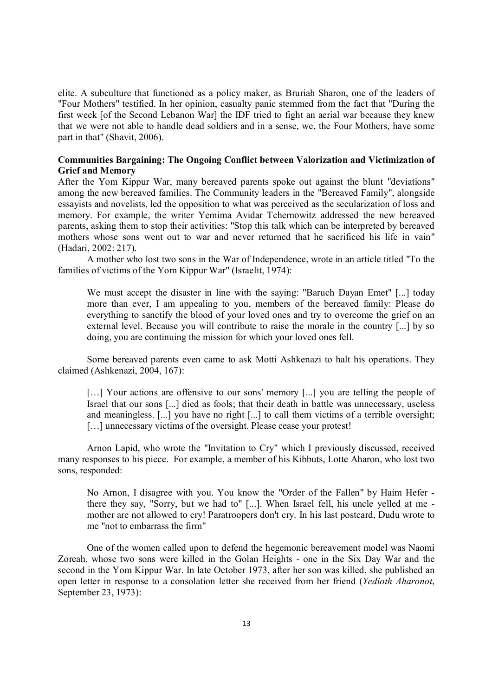elite. A subculture that functioned as a policy maker, as Bruriah Sharon, one of the leaders of "Four Mothers" testified. In her opinion, casualty panic stemmed from the fact that "During the first week [of the Second Lebanon War] the IDF tried to fight an aerial war because they knew that we were not able to handle dead soldiers and in a sense, we, the Four Mothers, have some part in that" (Shavit, 2006).

# **Communities Bargaining: The Ongoing Conflict between Valorization and Victimization of Grief and Memory**

After the Yom Kippur War, many bereaved parents spoke out against the blunt "deviations" among the new bereaved families. The Community leaders in the "Bereaved Family", alongside essayists and novelists, led the opposition to what was perceived as the secularization of loss and memory. For example, the writer Yemima Avidar Tchernowitz addressed the new bereaved parents, asking them to stop their activities: "Stop this talk which can be interpreted by bereaved mothers whose sons went out to war and never returned that he sacrificed his life in vain" (Hadari, 2002: 217).

A mother who lost two sons in the War of Independence, wrote in an article titled "To the families of victims of the Yom Kippur War" (Israelit, 1974):

We must accept the disaster in line with the saying: "Baruch Dayan Emet" [...] today more than ever, I am appealing to you, members of the bereaved family: Please do everything to sanctify the blood of your loved ones and try to overcome the grief on an external level. Because you will contribute to raise the morale in the country [...] by so doing, you are continuing the mission for which your loved ones fell.

Some bereaved parents even came to ask Motti Ashkenazi to halt his operations. They claimed (Ashkenazi, 2004, 167):

[...] Your actions are offensive to our sons' memory [...] you are telling the people of Israel that our sons [...] died as fools; that their death in battle was unnecessary, useless and meaningless. [...] you have no right [...] to call them victims of a terrible oversight; [...] unnecessary victims of the oversight. Please cease your protest!

Arnon Lapid, who wrote the "Invitation to Cry" which I previously discussed, received many responses to his piece. For example, a member of his Kibbuts, Lotte Aharon, who lost two sons, responded:

No Arnon, I disagree with you. You know the "Order of the Fallen" by Haim Hefer there they say, "Sorry, but we had to" [...]. When Israel fell, his uncle yelled at me mother are not allowed to cry! Paratroopers don't cry. In his last postcard, Dudu wrote to me "not to embarrass the firm"

One of the women called upon to defend the hegemonic bereavement model was Naomi Zoreah, whose two sons were killed in the Golan Heights - one in the Six Day War and the second in the Yom Kippur War. In late October 1973, after her son was killed, she published an open letter in response to a consolation letter she received from her friend (*Yedioth Aharonot*, September 23, 1973):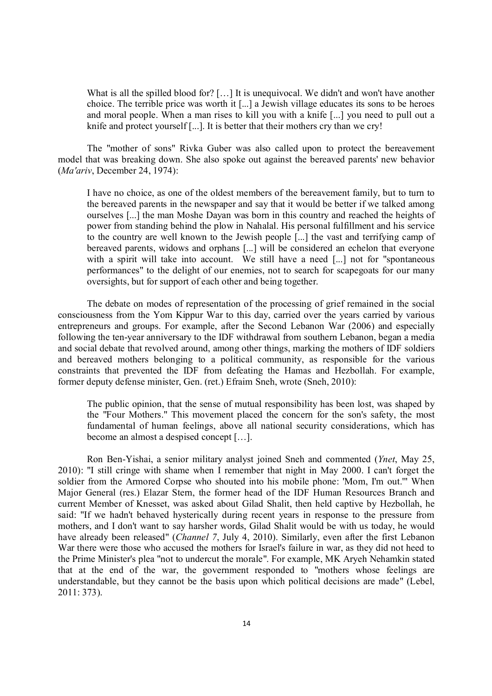What is all the spilled blood for? [...] It is unequivocal. We didn't and won't have another choice. The terrible price was worth it [...] a Jewish village educates its sons to be heroes and moral people. When a man rises to kill you with a knife [...] you need to pull out a knife and protect yourself [...]. It is better that their mothers cry than we cry!

The "mother of sons" Rivka Guber was also called upon to protect the bereavement model that was breaking down. She also spoke out against the bereaved parents' new behavior (*Ma'ariv*, December 24, 1974):

I have no choice, as one of the oldest members of the bereavement family, but to turn to the bereaved parents in the newspaper and say that it would be better if we talked among ourselves [...] the man Moshe Dayan was born in this country and reached the heights of power from standing behind the plow in Nahalal. His personal fulfillment and his service to the country are well known to the Jewish people [...] the vast and terrifying camp of bereaved parents, widows and orphans [...] will be considered an echelon that everyone with a spirit will take into account. We still have a need [...] not for "spontaneous performances" to the delight of our enemies, not to search for scapegoats for our many oversights, but for support of each other and being together.

The debate on modes of representation of the processing of grief remained in the social consciousness from the Yom Kippur War to this day, carried over the years carried by various entrepreneurs and groups. For example, after the Second Lebanon War (2006) and especially following the ten-year anniversary to the IDF withdrawal from southern Lebanon, began a media and social debate that revolved around, among other things, marking the mothers of IDF soldiers and bereaved mothers belonging to a political community, as responsible for the various constraints that prevented the IDF from defeating the Hamas and Hezbollah. For example, former deputy defense minister, Gen. (ret.) Efraim Sneh, wrote (Sneh, 2010):

The public opinion, that the sense of mutual responsibility has been lost, was shaped by the "Four Mothers." This movement placed the concern for the son's safety, the most fundamental of human feelings, above all national security considerations, which has become an almost a despised concept […].

Ron Ben-Yishai, a senior military analyst joined Sneh and commented (*Ynet*, May 25, 2010): "I still cringe with shame when I remember that night in May 2000. I can't forget the soldier from the Armored Corpse who shouted into his mobile phone: 'Mom, I'm out.'" When Major General (res.) Elazar Stern, the former head of the IDF Human Resources Branch and current Member of Knesset, was asked about Gilad Shalit, then held captive by Hezbollah, he said: "If we hadn't behaved hysterically during recent years in response to the pressure from mothers, and I don't want to say harsher words, Gilad Shalit would be with us today, he would have already been released" (*Channel 7*, July 4, 2010). Similarly, even after the first Lebanon War there were those who accused the mothers for Israel's failure in war, as they did not heed to the Prime Minister's plea "not to undercut the morale". For example, MK Aryeh Nehamkin stated that at the end of the war, the government responded to "mothers whose feelings are understandable, but they cannot be the basis upon which political decisions are made" (Lebel, 2011: 373).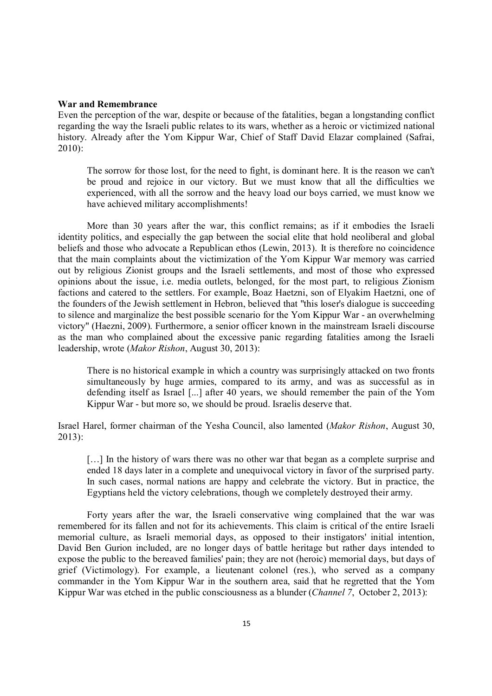# **War and Remembrance**

Even the perception of the war, despite or because of the fatalities, began a longstanding conflict regarding the way the Israeli public relates to its wars, whether as a heroic or victimized national history. Already after the Yom Kippur War, Chief of Staff David Elazar complained (Safrai, 2010):

The sorrow for those lost, for the need to fight, is dominant here. It is the reason we can't be proud and rejoice in our victory. But we must know that all the difficulties we experienced, with all the sorrow and the heavy load our boys carried, we must know we have achieved military accomplishments!

More than 30 years after the war, this conflict remains; as if it embodies the Israeli identity politics, and especially the gap between the social elite that hold neoliberal and global beliefs and those who advocate a Republican ethos (Lewin, 2013). It is therefore no coincidence that the main complaints about the victimization of the Yom Kippur War memory was carried out by religious Zionist groups and the Israeli settlements, and most of those who expressed opinions about the issue, i.e. media outlets, belonged, for the most part, to religious Zionism factions and catered to the settlers. For example, Boaz Haetzni, son of Elyakim Haetzni, one of the founders of the Jewish settlement in Hebron, believed that "this loser's dialogue is succeeding to silence and marginalize the best possible scenario for the Yom Kippur War - an overwhelming victory" (Haezni, 2009). Furthermore, a senior officer known in the mainstream Israeli discourse as the man who complained about the excessive panic regarding fatalities among the Israeli leadership, wrote (*Makor Rishon*, August 30, 2013):

There is no historical example in which a country was surprisingly attacked on two fronts simultaneously by huge armies, compared to its army, and was as successful as in defending itself as Israel [...] after 40 years, we should remember the pain of the Yom Kippur War - but more so, we should be proud. Israelis deserve that.

Israel Harel, former chairman of the Yesha Council, also lamented (*Makor Rishon*, August 30, 2013):

[...] In the history of wars there was no other war that began as a complete surprise and ended 18 days later in a complete and unequivocal victory in favor of the surprised party. In such cases, normal nations are happy and celebrate the victory. But in practice, the Egyptians held the victory celebrations, though we completely destroyed their army.

Forty years after the war, the Israeli conservative wing complained that the war was remembered for its fallen and not for its achievements. This claim is critical of the entire Israeli memorial culture, as Israeli memorial days, as opposed to their instigators' initial intention, David Ben Gurion included, are no longer days of battle heritage but rather days intended to expose the public to the bereaved families' pain; they are not (heroic) memorial days, but days of grief (Victimology). For example, a lieutenant colonel (res.), who served as a company commander in the Yom Kippur War in the southern area, said that he regretted that the Yom Kippur War was etched in the public consciousness as a blunder (*Channel 7*, October 2, 2013):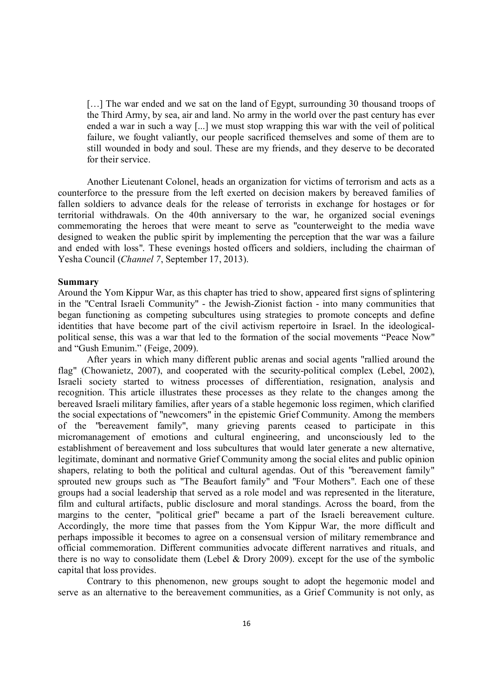[...] The war ended and we sat on the land of Egypt, surrounding 30 thousand troops of the Third Army, by sea, air and land. No army in the world over the past century has ever ended a war in such a way [...] we must stop wrapping this war with the veil of political failure, we fought valiantly, our people sacrificed themselves and some of them are to still wounded in body and soul. These are my friends, and they deserve to be decorated for their service.

Another Lieutenant Colonel, heads an organization for victims of terrorism and acts as a counterforce to the pressure from the left exerted on decision makers by bereaved families of fallen soldiers to advance deals for the release of terrorists in exchange for hostages or for territorial withdrawals. On the 40th anniversary to the war, he organized social evenings commemorating the heroes that were meant to serve as "counterweight to the media wave designed to weaken the public spirit by implementing the perception that the war was a failure and ended with loss". These evenings hosted officers and soldiers, including the chairman of Yesha Council (*Channel 7*, September 17, 2013).

### **Summary**

Around the Yom Kippur War, as this chapter has tried to show, appeared first signs of splintering in the "Central Israeli Community" - the Jewish-Zionist faction - into many communities that began functioning as competing subcultures using strategies to promote concepts and define identities that have become part of the civil activism repertoire in Israel. In the ideologicalpolitical sense, this was a war that led to the formation of the social movements "Peace Now" and "Gush Emunim." (Feige, 2009).

After years in which many different public arenas and social agents "rallied around the flag" (Chowanietz, 2007), and cooperated with the security-political complex (Lebel, 2002), Israeli society started to witness processes of differentiation, resignation, analysis and recognition. This article illustrates these processes as they relate to the changes among the bereaved Israeli military families, after years of a stable hegemonic loss regimen, which clarified the social expectations of "newcomers" in the epistemic Grief Community. Among the members of the "bereavement family", many grieving parents ceased to participate in this micromanagement of emotions and cultural engineering, and unconsciously led to the establishment of bereavement and loss subcultures that would later generate a new alternative, legitimate, dominant and normative Grief Community among the social elites and public opinion shapers, relating to both the political and cultural agendas. Out of this "bereavement family" sprouted new groups such as "The Beaufort family" and "Four Mothers". Each one of these groups had a social leadership that served as a role model and was represented in the literature, film and cultural artifacts, public disclosure and moral standings. Across the board, from the margins to the center, "political grief" became a part of the Israeli bereavement culture. Accordingly, the more time that passes from the Yom Kippur War, the more difficult and perhaps impossible it becomes to agree on a consensual version of military remembrance and official commemoration. Different communities advocate different narratives and rituals, and there is no way to consolidate them (Lebel & Drory 2009). except for the use of the symbolic capital that loss provides.

Contrary to this phenomenon, new groups sought to adopt the hegemonic model and serve as an alternative to the bereavement communities, as a Grief Community is not only, as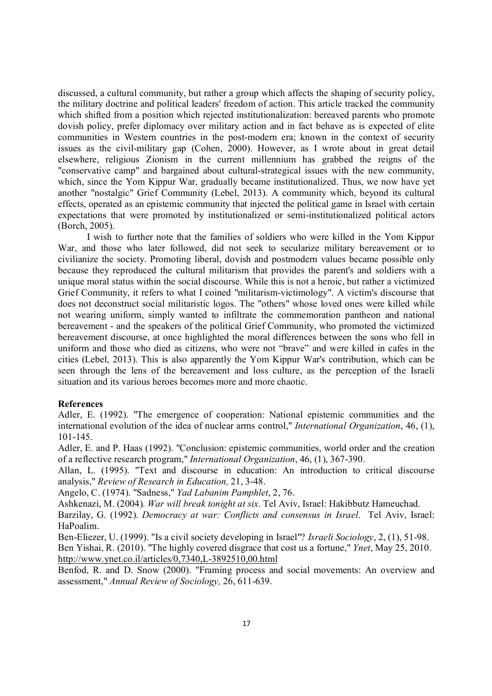discussed, a cultural community, but rather a group which affects the shaping of security policy, the military doctrine and political leaders' freedom of action. This article tracked the community which shifted from a position which rejected institutionalization: bereaved parents who promote dovish policy, prefer diplomacy over military action and in fact behave as is expected of elite communities in Western countries in the post-modern era; known in the context of security issues as the civil-military gap (Cohen, 2000). However, as I wrote about in great detail elsewhere, religious Zionism in the current millennium has grabbed the reigns of the "conservative camp" and bargained about cultural-strategical issues with the new community, which, since the Yom Kippur War, gradually became institutionalized. Thus, we now have yet another "nostalgic" Grief Community (Lebel, 2013). A community which, beyond its cultural effects, operated as an epistemic community that injected the political game in Israel with certain expectations that were promoted by institutionalized or semi-institutionalized political actors (Borch, 2005).

I wish to further note that the families of soldiers who were killed in the Yom Kippur War, and those who later followed, did not seek to secularize military bereavement or to civilianize the society. Promoting liberal, dovish and postmodern values became possible only because they reproduced the cultural militarism that provides the parent's and soldiers with a unique moral status within the social discourse. While this is not a heroic, but rather a victimized Grief Community, it refers to what I coined "militarism-victimology". A victim's discourse that does not deconstruct social militaristic logos. The "others" whose loved ones were killed while not wearing uniform, simply wanted to infiltrate the commemoration pantheon and national bereavement - and the speakers of the political Grief Community, who promoted the victimized bereavement discourse, at once highlighted the moral differences between the sons who fell in uniform and those who died as citizens, who were not "brave" and were killed in cafes in the cities (Lebel, 2013). This is also apparently the Yom Kippur War's contribution, which can be seen through the lens of the bereavement and loss culture, as the perception of the Israeli situation and its various heroes becomes more and more chaotic.

## **References**

Adler, E. (1992). "The emergence of cooperation: National epistemic communities and the international evolution of the idea of nuclear arms control," *International Organization*, 46, (1), 101-145.

Adler, E. and P. Haas (1992). "Conclusion: epistemic communities, world order and the creation of a reflective research program," *International Organization*, 46, (1), 367-390.

Allan, L. (1995). "Text and discourse in education: An introduction to critical discourse analysis," *Review of Research in Education,* 21, 3-48.

Angelo, C. (1974). "Sadness," *Yad Labanim Pamphlet*, 2, 76.

Ashkenazi, M. (2004). *War will break tonight at six*. Tel Aviv, Israel: Hakibbutz Hameuchad.

Barzilay, G. (1992). *Democracy at war: Conflicts and consensus in Israel*. Tel Aviv, Israel: HaPoalim.

Ben-Eliezer, U. (1999). "Is a civil society developing in Israel"? *Israeli Sociology*, 2, (1), 51-98. Ben Yishai, R. (2010). "The highly covered disgrace that cost us a fortune," *Ynet*, May 25, 2010.

http://www.ynet.co.il/articles/0,7340,L-3892510,00.html

Benfod, R. and D. Snow (2000). "Framing process and social movements: An overview and assessment," *Annual Review of Sociology,* 26, 611-639.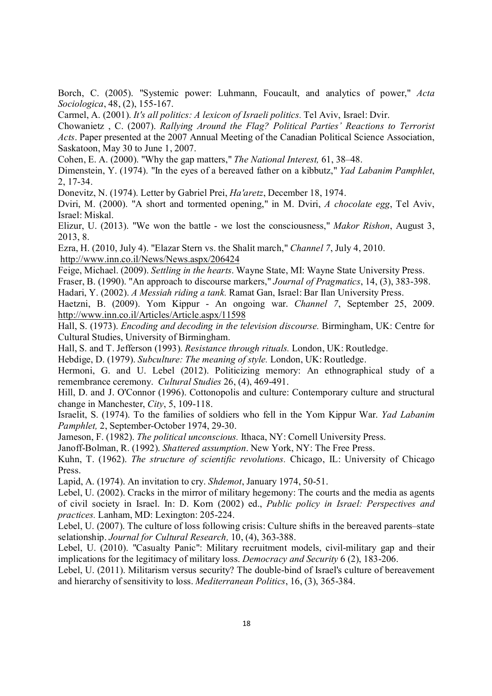Borch, C. (2005). "Systemic power: Luhmann, Foucault, and analytics of power," *Acta Sociologica*, 48, (2), 155-167.

Carmel, A. (2001). *It's all politics: A lexicon of Israeli politics.* Tel Aviv, Israel: Dvir.

Chowanietz , C. (2007). *Rallying Around the Flag? Political Parties' Reactions to Terrorist Acts*. Paper presented at the 2007 Annual Meeting of the Canadian Political Science Association, Saskatoon, May 30 to June 1, 2007.

Cohen, E. A. (2000). "Why the gap matters," *The National Interest,* 61, 38–48.

Dimenstein, Y. (1974). "In the eyes of a bereaved father on a kibbutz," *Yad Labanim Pamphlet*, 2, 17-34.

Donevitz, N. (1974). Letter by Gabriel Prei, *Ha'aretz*, December 18, 1974.

Dviri, M. (2000). "A short and tormented opening," in M. Dviri, *A chocolate egg*, Tel Aviv, Israel: Miskal.

Elizur, U. (2013). "We won the battle - we lost the consciousness," *Makor Rishon*, August 3, 2013, 8.

Ezra, H. (2010, July 4). "Elazar Stern vs. the Shalit march," *Channel 7*, July 4, 2010. http://www.inn.co.il/News/News.aspx/206424

Feige, Michael. (2009). *Settling in the hearts*. Wayne State, MI: Wayne State University Press.

Fraser, B. (1990). "An approach to discourse markers," *Journal of Pragmatics*, 14, (3), 383-398.

Hadari, Y. (2002). *A Messiah riding a tank.* Ramat Gan, Israel: Bar Ilan University Press.

Haetzni, B. (2009). Yom Kippur - An ongoing war. *Channel 7*, September 25, 2009. http://www.inn.co.il/Articles/Article.aspx/11598

Hall, S. (1973). *Encoding and decoding in the television discourse.* Birmingham, UK: Centre for Cultural Studies, University of Birmingham.

Hall, S. and T. Jefferson (1993). *Resistance through rituals.* London, UK: Routledge.

Hebdige, D. (1979). *Subculture: The meaning of style.* London, UK: Routledge.

Hermoni, G. and U. Lebel (2012). Politicizing memory: An ethnographical study of a remembrance ceremony. *Cultural Studies* 26, (4), 469-491.

Hill, D. and J. O'Connor (1996). Cottonopolis and culture: Contemporary culture and structural change in Manchester, *City*, 5, 109-118.

Israelit, S. (1974). To the families of soldiers who fell in the Yom Kippur War. *Yad Labanim Pamphlet,* 2, September-October 1974, 29-30.

Jameson, F. (1982). *The political unconscious.* Ithaca, NY: Cornell University Press.

Janoff-Bolman, R. (1992). *Shattered assumption*. New York, NY: The Free Press.

Kuhn, T. (1962). *The structure of scientific revolutions.* Chicago, IL: University of Chicago Press.

Lapid, A. (1974). An invitation to cry. *Shdemot*, January 1974, 50-51.

Lebel, U. (2002). Cracks in the mirror of military hegemony: The courts and the media as agents of civil society in Israel. In: D. Korn (2002) ed., *Public policy in Israel: Perspectives and practices.* Lanham, MD: Lexington: 205-224.

Lebel, U. (2007). The culture of loss following crisis: Culture shifts in the bereaved parents–state selationship. *Journal for Cultural Research,* 10, (4), 363-388.

Lebel, U. (2010). "Casualty Panic": Military recruitment models, civil-military gap and their implications for the legitimacy of military loss. *Democracy and Security* 6 (2), 183-206.

Lebel, U. (2011). Militarism versus security? The double-bind of Israel's culture of bereavement and hierarchy of sensitivity to loss. *Mediterranean Politics*, 16, (3), 365-384.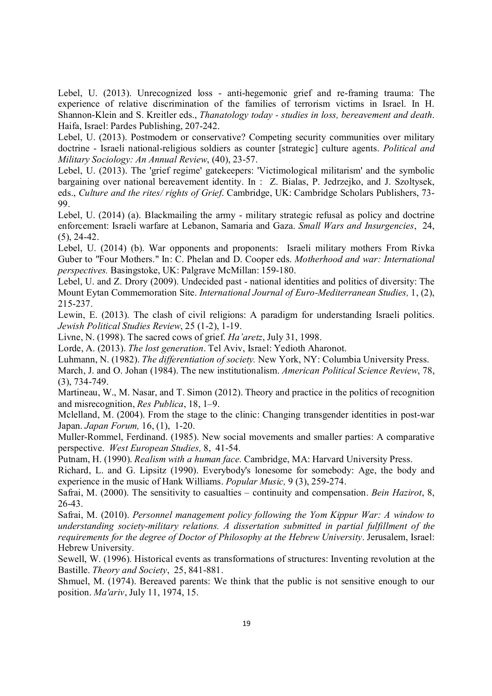Lebel, U. (2013). Unrecognized loss - anti-hegemonic grief and re-framing trauma: The experience of relative discrimination of the families of terrorism victims in Israel. In H. Shannon-Klein and S. Kreitler eds., *Thanatology today - studies in loss, bereavement and death*. Haifa, Israel: Pardes Publishing, 207-242.

Lebel, U. (2013). Postmodern or conservative? Competing security communities over military doctrine - Israeli national-religious soldiers as counter [strategic] culture agents. *Political and Military Sociology: An Annual Review*, (40), 23-57.

Lebel, U. (2013). The 'grief regime' gatekeepers: 'Victimological militarism' and the symbolic bargaining over national bereavement identity. In : Z. Bialas, P. Jedrzejko, and J. Szoltysek, eds., *Culture and the rites/ rights of Grief*. Cambridge, UK: Cambridge Scholars Publishers, 73- 99.

Lebel, U. (2014) (a). Blackmailing the army - military strategic refusal as policy and doctrine enforcement: Israeli warfare at Lebanon, Samaria and Gaza. *Small Wars and Insurgencies*, 24,  $(5)$ , 24-42.

Lebel, U. (2014) (b). War opponents and proponents: Israeli military mothers From Rivka Guber to "Four Mothers." In: C. Phelan and D. Cooper eds. *Motherhood and war: International perspectives.* Basingstoke, UK: Palgrave McMillan: 159-180.

Lebel, U. and Z. Drory (2009). Undecided past - national identities and politics of diversity: The Mount Eytan Commemoration Site. *International Journal of Euro-Mediterranean Studies,* 1, (2), 215-237.

Lewin, E. (2013). The clash of civil religions: A paradigm for understanding Israeli politics. *Jewish Political Studies Review*, 25 (1-2), 1-19.

Livne, N. (1998). The sacred cows of grief. *Ha'aretz*, July 31, 1998.

Lorde, A. (2013). *The lost generation*. Tel Aviv, Israel: Yedioth Aharonot.

Luhmann, N. (1982). *The differentiation of society.* New York, NY: Columbia University Press.

March, J. and O. Johan (1984). The new institutionalism. *American Political Science Review*, 78, (3), 734-749.

Martineau, W., M. Nasar, and T. Simon (2012). Theory and practice in the politics of recognition and misrecognition, *Res Publica*, 18, 1–9.

Mclelland, M. (2004). From the stage to the clinic: Changing transgender identities in post-war Japan. *Japan Forum,* 16, (1), 1-20.

Muller-Rommel, Ferdinand. (1985). New social movements and smaller parties: A comparative perspective. *West European Studies,* 8, 41-54.

Putnam, H. (1990). *Realism with a human face.* Cambridge, MA: Harvard University Press.

Richard, L. and G. Lipsitz (1990). Everybody's lonesome for somebody: Age, the body and experience in the music of Hank Williams. *Popular Music,* 9 (3), 259-274.

Safrai, M. (2000). The sensitivity to casualties – continuity and compensation. *Bein Hazirot*, 8, 26-43.

Safrai, M. (2010). *Personnel management policy following the Yom Kippur War: A window to understanding society-military relations. A dissertation submitted in partial fulfillment of the requirements for the degree of Doctor of Philosophy at the Hebrew University*. Jerusalem, Israel: Hebrew University.

Sewell, W. (1996). Historical events as transformations of structures: Inventing revolution at the Bastille. *Theory and Society*, 25, 841-881.

Shmuel, M. (1974). Bereaved parents: We think that the public is not sensitive enough to our position. *Ma'ariv*, July 11, 1974, 15.